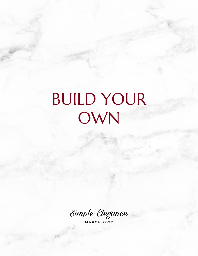# BUILD YOUR OWN

Simple Elegance

M A R C H 2 0 2 2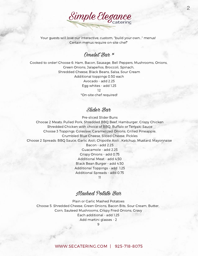

2

Your guests will love our interactive, custom, "build your own..." menus! Certain menus require on-site chef\*

## Omelet Bar  $*$

Cooked to order! Choose 6: Ham, Bacon, Sausage, Bell Peppers, Mushrooms, Onions, Green Onions, Jalapeños, Broccoli, Spinach, Shredded Cheese, Black Beans, Salsa, Sour Cream Additional toppings 0.50 each Avocado - add 2.25 Egg whites - add 1.25 12 \*On-site chef required!

#### Slider Bar

Pre-sliced Slider Buns

Choose 2 Meats: Pulled Pork, Shredded BBQ Beef, Hamburger, Crispy Chicken Shredded Chicken with choice of BBQ, Buffalo or Teriyaki Sauce Choose 3 Toppings: Coleslaw, Caramelized Onions, Grilled Pineapple, Crumbled Blue Cheese, Sliced Cheese, Pickles Choose 2 Spreads: BBQ Sauce, Garlic Aioli, Chipotle Aioli , Ketchup, Mustard, Mayonnaise Bacon - add 2.25 Guacamole - add 2.25 Crispy Onions - add 0.75 Additional Meat - add 4.50 Black Bean Burger - add 4.50 Additional Toppings - add 1.25 Additional Spreads - add 0.75

11

## Mashed Potato Bar

Plain or Garlic Mashed Potatoes Choose 5: Shredded Cheese, Green Onions, Bacon Bits, Sour Cream, Butter, Corn, Sauteed Mushrooms, Crispy Fried Onions, Gravy Each additional - add 1.25 Add martini glasses - 2

9